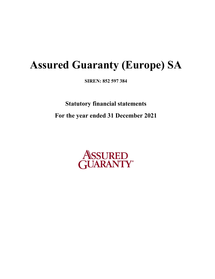**SIREN: 852 597 384**

**Statutory financial statements For the year ended 31 December 2021**

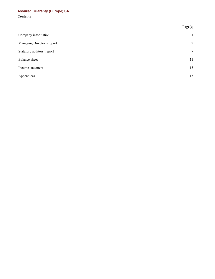# **Contents Assured Guaranty (Europe) SA**

|                            | Page(s)      |
|----------------------------|--------------|
| Company information        | $\mathbf{1}$ |
| Managing Director's report | 2            |
| Statutory auditors' report | $\tau$       |
| Balance sheet              | 11           |
| Income statement           | 13           |
| Appendices                 | 15           |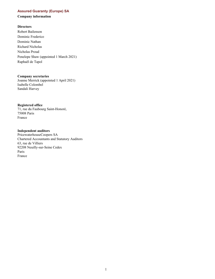#### <span id="page-2-0"></span>**Company information**

## **Directors**

Robert Bailenson Dominic Frederico Dominic Nathan Richard Nicholas Nicholas Proud Penelope Shaw (appointed 1 March 2021) Raphaël de Tapol

#### **Company secretaries**

Joanne Merrick (appointed 1 April 2021) Isabelle Colombel Sandali Harvey

#### **Registered office**

71, rue du Faubourg Saint-Honoré, 75008 Paris France

#### **Independent auditors**

PricewaterhouseCoopers SA Chartered Accountants and Statutory Auditors 63, rue de Villiers 92208 Neuilly-sur-Seine Cedex Paris France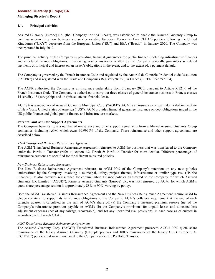<span id="page-3-0"></span>**Managing Director's Report**

#### **1.1. Principal activities**

Assured Guaranty (Europe) SA, (the "Company" or "AGE SA"), was established to enable the Assured Guaranty Group to continue underwriting new business and service existing European Economic Area ('EEA") policies following the United Kingdom's ("UK's") departure from the European Union ("EU") and EEA ("Brexit") in January 2020. The Company was incorporated in July 2019.

The principal activity of the Company is providing financial guarantees for public finance (including infrastructure finance) and structured finance obligations. Financial guarantee insurance written by the Company generally guarantees scheduled payments of principal and interest on an issuer's obligations in the event, and to the extent of, a payment default.

The Company is governed by the French Insurance Code and regulated by the Autorité de Contrôle Prudentiel et de Résolution ("ACPR") and is registered with the Trade and Companies Register ("RCS") in France (SIREN: 852 597 384).

The ACPR authorised the Company as an insurance undertaking from 2 January 2020, pursuant to Article R.321-1 of the French Insurance Code. The Company is authorised to carry out three classes of general insurance business in France: classes 14 (credit), 15 (suretyship) and 16 (miscellaneous financial loss).

AGE SA is a subsidiary of Assured Guaranty Municipal Corp. ("AGM"). AGM is an insurance company domiciled in the State of New York, United States of America ("US"). AGM provides financial guarantee insurance on debt obligations issued in the US public finance and global public finance and infrastructure markets.

#### **Parental and Affiliate Support Agreements**

The Company benefits from a number of reinsurance and other support agreements from affiliated Assured Guaranty Group companies, including AGM, which owns 99.9999% of the Company. These reinsurance and other support agreements are described below.

#### *AGM Transferred Business Reinsurance Agreement*

The AGM Transferred Business Reinsurance Agreement reinsures to AGM the business that was transferred to the Company under the Portfolio Transfer (refer to section 1.2, Brexit & Portfolio Transfer for more details). Different percentages of reinsurance cessions are specified for the different reinsured policies.

#### *New Business Reinsurance Agreement*

The New Business Reinsurance Agreement reinsures to AGM 90% of the Company's retention on any new policies underwritten by the Company involving a municipal, utility, project finance, infrastructure or similar type risk ("Public Finance"). It also provides reinsurance for certain Public Finance policies transferred to the Company for which Assured Guaranty UK Limited ("AGUK"), formerly Assured Guaranty (Europe) plc, was not reinsured by AGM, for which AGM's quota share percentage cession is approximately 88% to 90%, varying by policy.

Both the AGM Transferred Business Reinsurance Agreement and the New Business Reinsurance Agreement require AGM to pledge collateral to support its reinsurance obligations to the Company. AGM's collateral requirement at the end of each calendar quarter is calculated as the sum of AGM's share of: (a) the Company's unearned premium reserve (net of the Company's reinsurance premium payable to AGM); (b) the Company's provisions for unpaid losses and allocated loss adjustment expenses (net of any salvage recoverable), and (c) any unexpired risk provisions, in each case as calculated in accordance with French GAAP.

#### *AGC Transferred Business Reinsurance Agreement*

The Assured Guaranty Corp. ("AGC") Transferred Business Reinsurance Agreement preserves AGC's 90% quota share reinsurance of the legacy Assured Guaranty (UK) plc policies and 100% reinsurance of the legacy CIFG Europe S.A. ("CIFGE") policies that were transferred to the Company under the Portfolio Transfer.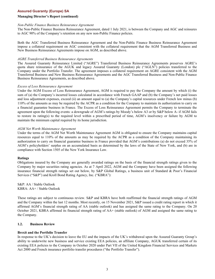#### **Managing Director's Report (continued)**

#### *Non-Public Finance Business Reinsurance Agreement*

The Non-Public Finance Business Reinsurance Agreement, dated 1 July 2021, is between the Company and AGC and reinsures to AGC 90% of the Company's retention on any new non-Public Finance policies.

Both the AGC Transferred Business Reinsurance Agreement and the Non-Public Finance Business Reinsurance Agreement impose a collateral requirement on AGC consistent with the collateral requirement that the AGM Transferred Business and New Business Reinsurance Agreements impose on AGM, as described above.

#### *AGRE Transferred Business Reinsurance Agreements*

The Assured Guaranty Reinsurance Limited ("AGRE") Transferred Business Reinsurance Agreements preserves AGRE's quota share reinsurance of the AGUK and legacy Assured Guaranty (London) plc ("AGLN") policies transferred to the Company under the Portfolio Transfer. The agreement imposes a collateral requirement on AGRE consistent with the AGM Transferred Business and New Business Reinsurance Agreements and the AGC Transferred Business and Non-Public Finance Business Reinsurance Agreements, as described above.

#### *Excess of Loss Reinsurance Agreement*

Under the AGM Excess of Loss Reinsurance Agreement, AGM is required to pay the Company the amount by which (i) the sum of (a) the Company's incurred losses calculated in accordance with French GAAP and (b) the Company's net paid losses and loss adjustment expenses, exceed (ii) an amount equal to (a) the Company's capital resources under French law minus (b) 110% of the amounts as may be required by the ACPR as a condition for the Company to maintain its authorization to carry on a financial guarantee business in France. The Excess of Loss Reinsurance Agreement permits the Company to terminate the agreement upon the following events: a downgrade of AGM's ratings by Moody's below A3 or by S&P below A- if AGM fails to restore its rating(s) to the required level within a prescribed period of time, AGM's insolvency or failure by AGM to maintain the minimum capital required by its home jurisdiction.

#### *AGM Net Worth Maintenance Agreement*

Under the terms of the AGM Net Worth Maintenance Agreement AGM is obligated to ensure the Company maintains capital resources equal to 110% of the amounts as may be required by the ACPR as a condition of the Company maintaining its authorization to carry on financial guarantee business in France provided that AGM's contributions (a) do not exceed 35% of AGM's policyholders' surplus on an accumulated basis as determined by the laws of the State of New York, and (b) are in compliance with Section 1505 of the New York Insurance Law.

#### **Ratings**

Obligations insured by the Company are generally awarded ratings on the basis of the financial strength ratings given to the Company by major securities rating agencies. As at 7 April 2022, AGM and the Company have been assigned the following insurance financial strength ratings set out below, by S&P Global Ratings, a business unit of Standard & Poor's Financial Services ("S&P") and Kroll Bond Rating Agency, Inc. ("KBRA"):

S&P: AA / Stable Outlook KBRA: AA+ / Stable Outlook

These ratings are subject to continuous review. S&P and KBRA have both reaffirmed the financial strength ratings of AGM and the Company within the last 12 months. Most recently, on 15 November 2021, S&P issued a credit rating report in which it affirmed AGM's financial strength rating of AA (stable outlook) and has assigned the same rating to the Company. On 20 October 2021, KBRA affirmed its financial strength rating of AA+ (stable outlook) of AGM and assigned the same rating to the Company.

#### **1.2. Business Review**

#### **Brexit and the Portfolio Transfer**

In response to the UK's decision to leave the EU and the impacts of the UK's withdrawal upon the Assured Guaranty Group's ability to underwrite new business and service existing EEA policies, an affiliate Company, AGUK transferred certain of its existing EEA policies to the Company in October 2020 under Part VII of the United Kingdom Financial Services and Markets Act 2000 and French insurance portfolio transfer procedures ("the Portfolio Transfer").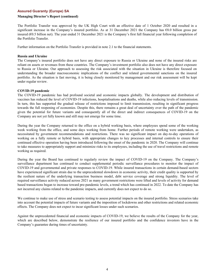#### **Managing Director's Report (continued)**

The Portfolio Transfer was approved by the UK High Court with an effective date of 1 October 2020 and resulted in a significant increase in the Company's insured portfolio. As at 31 December 2021 the Company has €8.0 billion gross par insured ( $60.5$  billion net). The year ended 31 December 2021 is the Company's first full financial year following completion of the Portfolio Transfer.

Further information on the Portfolio Transfer is provided in note 2.1 to the financial statements.

#### **Russia and Ukraine**

The Company's insured portfolio does not have any direct exposure to Russia or Ukraine and none of the insured risks are reliant on assets or revenues from these countries. The Company's investment portfolio also does not have any direct exposure to Russia or Ukraine. Our approach to assessing the risk associated with the situation in Ukraine is therefore focused on understanding the broader macroeconomic implications of the conflict and related governmental sanctions on the insured portfolio. As the situation is fast moving, it is being closely monitored by management and our risk assessment will be kept under regular review.

#### **COVID-19 pandemic**

The COVID-19 pandemic has had profound societal and economic impacts globally. The development and distribution of vaccines has reduced the level of COVID-19 infections, hospitalisations and deaths, while also reducing levels of transmission. In turn, this has supported the gradual release of restrictions imposed to limit transmission, resulting in significant progress towards the full reopening of economies. Despite this, there remains a great deal of uncertainty over the path of the pandemic given the potential for future variants and consequently all of the direct and indirect consequences of COVID-19 on the Company are not yet fully known and still may not emerge for some time.

During the year the Company returned to the office on a hybrid working basis, where employees spend some of the working week working from the office, and some days working from home. Further periods of remote working were undertaken, as necessitated by government recommendations and restrictions. There was no significant impact on day-to-day operations of working on a fully remote or hybrid basis, with appropriate changes to key processes and internal controls to ensure their continued effective operation having been introduced following the onset of the pandemic in 2020. The Company will continue to take measures to appropriately support and minimize risks to its employees, including the use of travel restrictions and remote working as required.

During the year the Board has continued to regularly review the impact of COVID-19 on the Company. The Company's surveillance department has continued to conduct supplemental periodic surveillance procedures to monitor the impact of COVID-19 and governmental and private responses to COVID-19. While insured transactions in certain demand-based sectors have experienced significant strain due to the unprecedented slowdown in economic activity, their credit quality is supported by the resilient nature of the underlying transaction business model, debt service coverage and strong liquidity. The level of required surveillance activity reduced across 2021 as many government restrictions were lifted and levels of activity for demand based transactions began to increase toward pre-pandemic levels, a trend which has continued in 2022. To date the Company has not incurred any claims related to the pandemic impacts, and currently does not expect to do so.

We continue to make use of stress and scenario testing to assess potential impacts on the insured portfolio. Stress scenarios take into account the potential impacts of future variants and the imposition of lockdowns and other restrictions and related economic effects. The Company does not expect to incur significant losses under such scenarios.

Against the unprecedented financial and economic impacts of COVID-19, we believe the results of the Company for the year, which are described below, demonstrate the resilience of our insured portfolio and the confidence investors have in the Company's guarantee during times of uncertainty.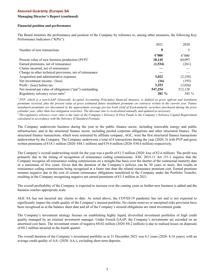#### **Managing Director's Report (continued)**

#### **Financial position and performance**

The Board monitors the performance and position of the Company by reference to, among other measures, the following Key Performance Indicators ("KPIs"):

|                                                          | 2021            | 2020            |
|----------------------------------------------------------|-----------------|-----------------|
| Number of new transactions                               | 8               |                 |
|                                                          | $\epsilon$ '000 | $\epsilon$ '000 |
| Present value of new business production $(PVP)^1$       | 18,145          | 44,097          |
| Earned premiums, net of reinsurance                      | (1,534)         | (261)           |
| Claims incurred, net of reinsurance                      |                 |                 |
| Change in other technical provisions, net of reinsurance |                 |                 |
| Acquisition and administrative expenses                  | 3,022           | (2,358)         |
| Net investment income / (loss)                           | (16)            | (195)           |
| Profit / (loss) before tax                               | 3,253           | (3,026)         |
| Net insured par value of obligations ("par") outstanding | 547,254         | 512,138         |
| Regulatory solvency cover ratio <sup>2</sup>             | $281 \%$        | 345 $%$         |

<sup>1</sup> PVP, which is a non-GAAP (Generally Accepted Accounting Principles) financial measure, is defined as gross upfront and instalment *premiums received, plus the present value of gross estimated future instalment premiums on contracts written in the current year. Future instalment premiums are discounted at the approximate average pre-tax book yield of fixed-maturity securities purchased during the prior calendar year, other than loss mitigation securities. The discount rate is recalculated annually and updated as necessary.* 

*<sup>2</sup>The regulatory solvency cover ratio is the ratio of the Company's Solvency II Own Funds to the Company's Solvency Capital Requirement calculated in accordance with the Solvency II Standard Formula.*

The Company underwrote business during the year in the public finance sector, including renewable energy and public infrastructure, and in the structured finance sector, including pooled corporate obligations and other structured finance. The structured finance transactions, which were reinsured by affiliate company, AGC, were the first structured finance transactions underwritten by the Company. The Company underwrote a total of 8 transactions during the year (2020: 5) with PVP and gross written premiums of  $\epsilon$ 18.1 million (2020:  $\epsilon$ 44.1 million) and  $\epsilon$ 19.0 million (2020:  $\epsilon$ 50.6 million) respectively.

The Company's overall underwriting result for the year was a profit of  $\epsilon$ 1.5 million (2020: loss of  $\epsilon$ 2.6 million). The profit was primarily due to the timing of recognition of reinsurance ceding commissions. ANC 2015-11 Art 151-1 requires that the Company recognise all reinsurance ceding commissions on a straight-line basis over the shorter of the contractual maturity date or a maximum of five years. Given that the duration of the Company's policies can be 30 years or more, this results in reinsurance ceding commissions being recognised at a faster rate than the related reinsurance premium cost. Earned premium remains negative due to the cost of certain reinsurance obligations transferred to the Company under the Portfolio Transfer, resulting in the Company recognising negative net earned premiums of  $E$ 1.5 million in 2021.

The overall profitability of the Company is expected to increase over the coming years as further new business is added and the business reaches appropriate scale.

AGE SA has not incurred any claims to date. As noted above, the COVID-19 pandemic has not and is not expected to significantly impact the credit quality of the Company's insured portfolio. No claims reserves or unexpired risks provision have been recognised as at the balance sheet date and all of the Company's insured obligations are rated investment grade.

The Company's investment strategy focuses on establishing highly liquid, diversified investment portfolios of high credit quality managed by an external investment manager. Under French GAAP, the Company's investments are recorded on an amortised cost basis. The investment return of negative  $\epsilon$ 0.02 million (2020:  $\epsilon$ 0.2 million) is due to realised losses on disposals of  $\epsilon$ 0.2 million incurred in the fourth quarter.

The overall duration of the Company's investment portfolio as at 31 December 2021 was 8.3 years (2020: 8.14 years), with an average credit quality of AA- (2020: AA-), excluding short term deposits.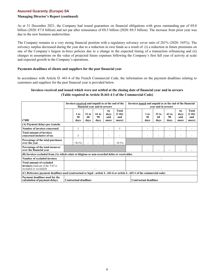## **Managing Director's Report (continued)**

As at 31 December 2021, the Company had issued guarantees on financial obligations with gross outstanding par of  $68.0$ billion (2020: €7.8 billion) and net par after reinsurance of  $60.5$  billion (2020:  $60.5$  billion). The increase from prior year was due to the new business underwritten.

The Company remains in a very strong financial position with a regulatory solvency cover ratio of 281% (2020: 345%). The solvency surplus decreased during the year due to a reduction in own funds as a result of: (i) a reduction in future premiums on one of the Company's largest in-force policies due to a change in the expected timing of a transaction refinancing and (ii) changes in assumptions on the value of projected future expenses following the Company's first full year of activity at scale and expected growth in the Company's operations.

#### **Payments deadlines of clients and suppliers for the past financial year**

In accordance with Article D. 441-4 of the French Commercial Code, the information on the payment deadlines relating to customers and suppliers for the past financial year is provided below.

## **Invoices received and issued which were not settled at the closing date of financial year and in arrears (Table required in Article D.441-4 I of the Commercial Code)**

|                                                                                                             | Invoices received and unpaid as at the end of the<br>financial year and in arrears                                        |                    |                       | Invoices issued and unpaid as at the end of the financial<br>year and in arrears |                              |                                   |  |                          |                       |                     |                           |                                   |
|-------------------------------------------------------------------------------------------------------------|---------------------------------------------------------------------------------------------------------------------------|--------------------|-----------------------|----------------------------------------------------------------------------------|------------------------------|-----------------------------------|--|--------------------------|-----------------------|---------------------|---------------------------|-----------------------------------|
| $\epsilon$ '000                                                                                             |                                                                                                                           | 1 to<br>30<br>days | $31$ to<br>60<br>days | 61 to<br>90<br>days                                                              | 91<br>days<br>and<br>more    | Total<br>$(1$ day<br>and<br>more) |  | 1 to<br>30<br>davs       | $31$ to<br>60<br>days | 61 to<br>90<br>days | 91<br>davs<br>and<br>more | Total<br>$(1$ day<br>and<br>more) |
| (A) Payment delays per tranche                                                                              |                                                                                                                           |                    |                       |                                                                                  |                              |                                   |  |                          |                       |                     |                           |                                   |
| <b>Number of invoices concerned</b>                                                                         |                                                                                                                           |                    |                       |                                                                                  |                              |                                   |  | $\overline{\phantom{a}}$ |                       |                     |                           |                                   |
| <b>Total amount of invoices</b><br>concerned inclusive of tax                                               |                                                                                                                           | 3                  |                       |                                                                                  |                              |                                   |  | $\overline{\phantom{a}}$ |                       |                     |                           |                                   |
| Percentage of the total purchases<br>over the year                                                          |                                                                                                                           | $< 0.1\%$          | $\blacksquare$        |                                                                                  |                              | $< 0.1\%$                         |  |                          |                       |                     |                           |                                   |
| Percentage of the total turnover<br>over the financial year                                                 |                                                                                                                           |                    |                       |                                                                                  |                              |                                   |  | ۰                        |                       |                     |                           |                                   |
| (B) Invoices excluded from (A) which relate to litigious or non-recorded debts or receivables               |                                                                                                                           |                    |                       |                                                                                  |                              |                                   |  |                          |                       |                     |                           |                                   |
| Number of excluded invoices                                                                                 |                                                                                                                           |                    |                       |                                                                                  |                              |                                   |  |                          |                       |                     |                           |                                   |
| Total amount of excluded<br><b>invoices</b> ( <i>indicate if the VAT is</i><br><i>included or excluded)</i> |                                                                                                                           |                    |                       |                                                                                  |                              |                                   |  |                          |                       |                     |                           |                                   |
|                                                                                                             | (C) Reference payment deadlines used (contractual or legal - article L. 441-6 or article L. 443-1 of the commercial code) |                    |                       |                                                                                  |                              |                                   |  |                          |                       |                     |                           |                                   |
| Payment deadlines used for the<br><b>Contractual deadlines</b><br>calculation of payment delays             |                                                                                                                           |                    |                       |                                                                                  | <b>Contractual deadlines</b> |                                   |  |                          |                       |                     |                           |                                   |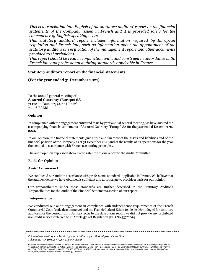*This is a translation into English of the statutory auditors' report on the financial statements of the Company issued in French and it is provided solely for the convenience of English-speaking users.* 

*This statutory auditors' report includes information required by European regulation and French law, such as information about the appointment of the statutory auditors or verification of the management report and other documents provided to shareholders.* 

*This report should be read in conjunction with, and construed in accordance with, French law and professional auditing standards applicable in France.*

## **Statutory auditor's report on the financial statements**

#### **(For the year ended 31 December 2021)**

To the annual general meeting of **Assured Guaranty (Europe) SA** 71 rue du Faubourg Saint-Honoré 75008 PARIS

#### **Opinion**

In compliance with the engagement entrusted to us by your annual general meeting, we have audited the accompanying financial statements of Assured Guaranty (Europe) SA for the year ended December 31, 2021.

In our opinion, the financial statements give a true and fair view of the assets and liabilities and of the financial position of the Company as at 31 December 2021 and of the results of its operations for the year then ended in accordance with French accounting principles.

The audit opinion expressed above is consistent with our report to the Audit Committee.

#### **Basis for Opinion**

#### *Audit Framework*

We conducted our audit in accordance with professional standards applicable in France. We believe that the audit evidence we have obtained is sufficient and appropriate to provide a basis for our opinion.

Our responsibilities under those standards are further described in the Statutory Auditor's Responsibilities for the Audit of the Financial Statements section of our report.

#### *Independence*

We conducted our audit engagement in compliance with independence requirements of the French Commercial Code (code de commerce) and the French Code of Ethics (code de déontologie) for statutory auditors, for the period from 1 January 2021 to the date of our report we did not provide any prohibited non-audit services referred to in Article 5(1) of Regulation (EU) No 537/2014.

*PricewaterhouseCoopers Audit, 63, rue de Villiers 92208 Neuilly-sur-Seine Cedex Téléphone: +33 (0)1 56 57 58 59, www.pwc.fr* 

Société d'expertise comptable inscrite au tableau de l'ordre de Paris - Ile de France. Société de commissariat aux comptes membre de la compagnie régionale de Versailles et du Centre. Société par Actions Simplifiée au capital de 2 510 460 €. Siège social : 63 rue de Villiers 92200 Neuilly-sur-Seine. RCS Nanterre 672 006<br>483. TVA n° FR 76 672 006 483. Siret 672 006 483 00362. Co Seine, Nice, Poitiers, Rennes, Rouen, Strasbourg, Toulouse.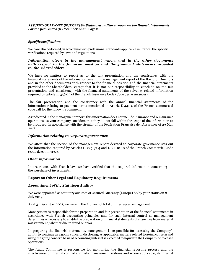## *Specific verifications*

We have also performed, in accordance with professional standards applicable in France, the specific verifications required by laws and regulations.

#### *Information given in the management report and in the other documents with respect to the financial position and the financial statements provided to the Shareholders*

We have no matters to report as to the fair presentation and the consistency with the financial statements of the information given in the management report of the Board of Directors and in the other documents with respect to the financial position and the financial statements provided to the Shareholders, except that it is not our responsibility to conclude on the fair presentation and consistency with the financial statements of the solvency related information required by article L. 356-23 of the French Insurance Code (Code des assurances).

The fair presentation and the consistency with the annual financial statements of the information relating to payment terms mentioned in Article D.441-4 of the French commercial code call for the following comment:

As indicated in the management report, this information does not include insurance and reinsurance operations, as your company considers that they do not fall within the scope of the information to be produced, in accordance with the circular of the Fédération Française de l'Assurance of 29 May 2017.

#### *Information relating to corporate governance*

We attest that the section of the management report devoted to corporate governance sets out the information required by Articles L. 225-37-4 and L. 22-10-10 of the French Commercial Code (code de commerce).

## *Other information*

In accordance with French law, we have verified that the required information concerning the purchase of investments.

#### **Report on Other Legal and Regulatory Requirements**

#### *Appointment of the Statutory Auditor*

We were appointed as statutory auditors of Assured Guaranty (Europe) SA by your status on 8 July 2019.

As at 31 December 2021, we were in the 3rd year of total uninterrupted engagement.

Management is responsible for the preparation and fair presentation of the financial statements in accordance with French accounting principles and for such internal control as management determines is necessary to enable the preparation of financial statements that are free from material misstatement, whether due to fraud or error.

In preparing the financial statements, management is responsible for assessing the Company's ability to continue as a going concern, disclosing, as applicable, matters related to going concern and using the going concern basis of accounting unless it is expected to liquidate the Company or to cease operations.

The Audit Committee is responsible for monitoring the financial reporting process and the effectiveness of internal control and risks management systems and where applicable, its internal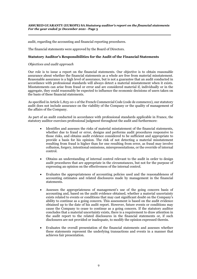audit, regarding the accounting and financial reporting procedures.

The financial statements were approved by the Board of Directors.

## **Statutory Auditor's Responsibilities for the Audit of the Financial Statements**

#### *Objectives and audit approach*

Our role is to issue a report on the financial statements. Our objective is to obtain reasonable assurance about whether the financial statements as a whole are free from material misstatement. Reasonable assurance is a high level of assurance, but is not a guarantee that an audit conducted in accordance with professional standards will always detect a material misstatement when it exists. Misstatements can arise from fraud or error and are considered material if, individually or in the aggregate, they could reasonably be expected to influence the economic decisions of users taken on the basis of these financial statements.

As specified in Article L.823-10-1 of the French Commercial Code (code de commerce), our statutory audit does not include assurance on the viability of the Company or the quality of management of the affairs of the Company.

As part of an audit conducted in accordance with professional standards applicable in France, the statutory auditor exercises professional judgment throughout the audit and furthermore:

- Identifies and assesses the risks of material misstatement of the financial statements, whether due to fraud or error, designs and performs audit procedures responsive to those risks, and obtains audit evidence considered to be sufficient and appropriate to provide a basis for his opinion. The risk of not detecting a material misstatement resulting from fraud is higher than for one resulting from error, as fraud may involve collusion, forgery, intentional omissions, misrepresentations, or the override of internal control.
- Obtains an understanding of internal control relevant to the audit in order to design audit procedures that are appropriate in the circumstances, but not for the purpose of expressing an opinion on the effectiveness of the internal control.
- Evaluates the appropriateness of accounting policies used and the reasonableness of accounting estimates and related disclosures made by management in the financial statements.
- Assesses the appropriateness of management's use of the going concern basis of accounting and, based on the audit evidence obtained, whether a material uncertainty exists related to events or conditions that may cast significant doubt on the Company's ability to continue as a going concern. This assessment is based on the audit evidence obtained up to the date of his audit report. However, future events or conditions may cause the Company to cease to continue as a going concern. If the statutory auditor concludes that a material uncertainty exists, there is a requirement to draw attention in the audit report to the related disclosures in the financial statements or, if such disclosures are not provided or inadequate, to modify the opinion expressed therein.
- Evaluates the overall presentation of the financial statements and assesses whether these statements represent the underlying transactions and events in a manner that achieves fair presentation.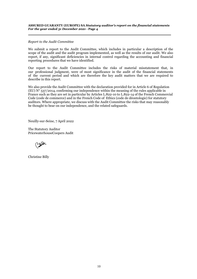#### **ASSURED GUARANTY (EUROPE) SA** *Statutory auditor's report on the financial statements For the year ended 31 December 2021 -* **Page 4**

#### *Report to the Audit Committee*

We submit a report to the Audit Committee, which includes in particular a description of the scope of the audit and the audit program implemented, as well as the results of our audit. We also report, if any, significant deficiencies in internal control regarding the accounting and financial reporting procedures that we have identified.

Our report to the Audit Committee includes the risks of material misstatement that, in our professional judgment, were of most significance in the audit of the financial statements of the current period and which are therefore the key audit matters that we are required to describe in this report.

We also provide the Audit Committee with the declaration provided for in Article 6 of Regulation (EU)  $N^{\circ}$  537/2014, confirming our independence within the meaning of the rules applicable in France such as they are set in particular by Articles L.822-10 to L.822-14 of the French Commercial Code (code de commerce) and in the French Code of Ethics (code de déontologie) for statutory auditors. Where appropriate, we discuss with the Audit Committee the risks that may reasonably be thought to bear on our independence, and the related safeguards.

Neuilly-sur-Seine, 7 April 2022

The Statutory Auditor PricewaterhouseCoopers Audit

Christine Billy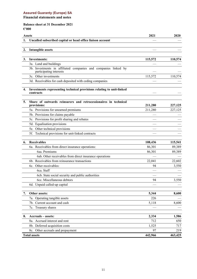## <span id="page-12-0"></span>**Balance sheet at 31 December 2021 €'000**

|    | Assets                                                                                     | 2021    | 2020    |
|----|--------------------------------------------------------------------------------------------|---------|---------|
| 1. | Uncalled subscribed capital or head office liaison account                                 |         |         |
|    |                                                                                            |         |         |
| 2. | <b>Intangible assets</b>                                                                   |         |         |
|    |                                                                                            |         |         |
| 3. | <b>Investments:</b>                                                                        | 115,572 | 110,574 |
|    | 3a. Land and buildings                                                                     |         |         |
|    | 3b. Investments in affiliated companies and companies linked by<br>participating interests |         |         |
|    | 3c. Other investments                                                                      | 115,572 | 110,574 |
|    | 3d. Receivables for cash deposited with ceding companies                                   |         |         |
| 4. | Investments representing technical provisions relating to unit-linked<br>contracts         |         |         |
| 5. | Share of outwards reinsurers and retrocessionaires in technical<br>provisions:             | 211,280 | 227,125 |
|    | 5a. Provisions for unearned premiums                                                       | 211,280 | 227,125 |
|    | 5b. Provisions for claims payable                                                          |         |         |
|    | 5c. Provisions for profit sharing and rebates                                              |         |         |
|    | 5d. Equalisation provisions                                                                |         |         |
|    | 5e. Other technical provisions                                                             |         |         |
|    | 5f. Technical provisions for unit-linked contracts                                         |         |         |
| 6. | <b>Receivables</b>                                                                         | 108,436 | 115,541 |
|    | 6a. Receivables from direct insurance operations:                                          | 86,301  | 89,389  |
|    | 6aa. Premiums                                                                              | 86,301  | 89,389  |
|    | 6ab. Other receivables from direct insurance operations                                    |         |         |
|    | 6b. Receivables from reinsurance transactions                                              | 22,041  | 22,602  |
|    | 6c. Other receivables:                                                                     | 94      | 3,550   |
|    | 6ca. Staff                                                                                 |         |         |
|    | 6cb. State social security and public authorities                                          |         |         |
|    | 6cc. Miscellaneous debtors                                                                 | 94      | 3,550   |
|    | 6d. Unpaid called-up capital                                                               |         |         |
| 7. | Other assets:                                                                              | 5,344   | 8,600   |
|    | 7a. Operating tangible assets                                                              | 226     |         |
|    | 7b. Current account and cash                                                               | 5,118   | 8,600   |
|    | 7c. Treasury shares                                                                        |         |         |
| 8. | Accruals - assets:                                                                         | 2,334   | 1,586   |
|    | 8a. Accrued interest and rent                                                              | 712     | 650     |
|    | 8b. Deferred acquisition costs                                                             | 1,525   | 717     |
|    | 8c. Other accruals and prepayment                                                          | 97      | 219     |
|    | <b>Total assets</b>                                                                        | 442,966 | 463,425 |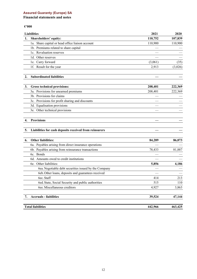## **Financial statements and notes**

## **€'000**

| <b>Liabilities</b>                               | 2021    | 2020    |
|--------------------------------------------------|---------|---------|
| Shareholders' equity:                            | 110,752 | 107,839 |
| 1a. Share capital or head office liaison account | 110,900 | 110,900 |
| 1b. Premiums related to share capital            |         |         |
| 1c. Revaluation reserves                         |         |         |
| 1d. Other reserves                               |         |         |
| 1e. Carry forward                                | (3,061) | (35)    |
| 1f. Result for the year                          | 2,913   | (3,026) |
|                                                  |         |         |
| <b>Subordinated liabilities</b>                  |         |         |

| <b>Gross technical provisions:</b>              | 208,401 | 222,369 |
|-------------------------------------------------|---------|---------|
| 3a. Provisions for unearned premiums            | 208,401 | 222,369 |
| 3b. Provisions for claims                       |         |         |
| 3c. Provisions for profit sharing and discounts |         |         |
| 3d. Equalisation provisions                     |         |         |
| 3e. Other technical provisions                  |         |         |
|                                                 |         |         |

## **4. Provisions — —**

# **5. Liabilities for cash deposits received from reinsurers — —**

| <b>Other liabilities:</b><br>6.                       | 84,289  | 86,073  |
|-------------------------------------------------------|---------|---------|
| 6a. Payables arising from direct insurance operations |         |         |
| 6b. Payables arising from reinsurance transactions    | 78,433  | 81,887  |
| 6c. Bonds                                             |         |         |
| Amounts owed to credit institutions<br>6d.            |         |         |
| Other liabilities:<br>6e.                             | 5,856   | 4,186   |
| 6ea. Negotiable debt securities issued by the Company |         |         |
| 6eb. Other loans, deposits and guarantees received    |         |         |
| 6ec. Staff                                            | 414     | 213     |
| 6ed. State, Social Security and public authorities    | 515     | 110     |
| bee. Miscellaneous creditors                          | 4,927   | 3,863   |
| <b>Accruals - liabilities</b>                         | 39,524  | 47,144  |
| <b>Total liabilities</b>                              | 442,966 | 463,425 |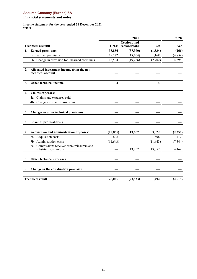## <span id="page-14-0"></span>**Financial statements and notes**

#### **Income statement for the year ended 31 December 2021 €'000**

|    |                                                                       |           | 2021                                 |            | 2020       |
|----|-----------------------------------------------------------------------|-----------|--------------------------------------|------------|------------|
|    | <b>Technical account</b>                                              | Gross     | <b>Cessions and</b><br>retrocessions | <b>Net</b> | <b>Net</b> |
| 1. | <b>Earned premiums:</b>                                               | 35,856    | (37,390)                             | (1,534)    | (261)      |
|    | 1a. Written premiums                                                  | 19,272    | (18, 104)                            | 1,168      | (4, 859)   |
|    | 1b. Change in provision for unearned premiums                         | 16,584    | (19, 286)                            | (2,702)    | 4,598      |
| 2. | Allocated investment income from the non-<br>technical account        |           |                                      |            |            |
| 3. | Other technical income                                                | 4         |                                      | 4          |            |
| 4. | <b>Claims</b> expenses:                                               |           |                                      |            |            |
|    | 4a. Claims and expenses paid                                          |           |                                      |            |            |
|    | 4b. Changes to claims provisions                                      |           |                                      |            |            |
| 5. | Charges to other technical provisions                                 |           |                                      |            |            |
| 6. | Share of profit-sharing                                               |           |                                      |            |            |
| 7. | Acquisition and administration expenses:                              | (10, 835) | 13,857                               | 3,022      | (2,358)    |
|    | 7a. Acquisition costs                                                 | 808       |                                      | 808        | 717        |
|    | 7b. Administration costs                                              | (11, 643) |                                      | (11, 643)  | (7, 544)   |
|    | 7c. Commissions received from reinsurers and<br>substitute guarantors |           | 13,857                               | 13,857     | 4,469      |
| 8. | Other technical expenses                                              |           |                                      |            |            |
| 9. | Change in the equalisation provision                                  |           |                                      |            |            |
|    | <b>Technical result</b>                                               | 25,025    | (23, 533)                            | 1,492      | (2,619)    |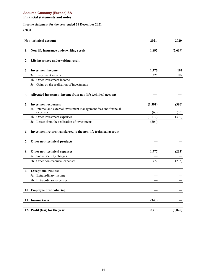# **Financial statements and notes**

# **Income statement for the year ended 31 December 2021**

**€'000**

|    | Non-technical account                                              | 2021     | 2020    |
|----|--------------------------------------------------------------------|----------|---------|
| 1. | Non-life insurance underwriting result                             | 1,492    | (2,619) |
|    |                                                                    |          |         |
| 2. | Life insurance underwriting result                                 |          |         |
|    |                                                                    |          |         |
| 3. | <b>Investment income:</b>                                          | 1,375    | 192     |
|    | 3a. Investment income                                              | 1,375    | 192     |
|    | 3b. Other investment income                                        |          |         |
|    | 3c. Gains on the realisation of investments                        |          |         |
| 4. | Allocated investment income from non-life technical account        |          |         |
| 5. | <b>Investment expenses:</b>                                        | (1, 391) | (386)   |
|    | 5a. Internal and external investment management fees and financial |          |         |
|    | expenses                                                           | (68)     | (16)    |
|    | 5b. Other investment expenses                                      | (1, 119) | (370)   |
|    | 5c. Losses from the realisation of investments                     | (204)    |         |
| 6. | Investment return transferred to the non-life technical account    |          |         |
| 7. | Other non-technical products                                       |          |         |
| 8. | Other non-technical expenses:                                      | 1,777    | (213)   |
|    | 8a. Social security charges                                        |          |         |
|    | 8b. Other non-technical expenses                                   | 1,777    | (213)   |
| 9. | <b>Exceptional results:</b>                                        |          |         |
|    | 9a. Extraordinary income                                           |          |         |
|    | 9b. Extraordinary expenses                                         |          |         |
|    | 10. Employee profit-sharing                                        |          |         |
|    | 11. Income taxes                                                   | (340)    |         |
|    | 12. Profit (loss) for the year                                     | 2,913    | (3,026) |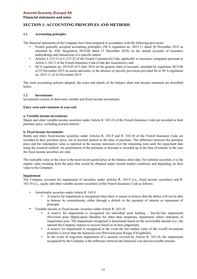<span id="page-16-0"></span>**Financial statements and notes**

# **SECTION 1: ACCOUNTING PRINCIPLES AND METHODS**

#### **1.1 Accounting principles**

The financial statements of the Company have been prepared in accordance with the following provisions:

- French generally accepted accounting principles, (NCA regulation no. 2015-11 dated 26 November 2015 as amended by ANC Regulation 2018‑08 dated 11 December 2018) on the annual accounts of insurance undertakings and transactions of a specific nature;
- Articles L.123-12 to L.123-22 of the French Commercial Code, applicable to insurance companies pursuant to Article L.341-2 of the French Insurance Code (Code des Assurances); and
- NCA regulation no. 2014-03 of 5 June 2014 on the general chart of accounts, amended by regulation 2015-06 of 23 November 2015 on assets and notes, in the absence of specific provisions provided for in NCA regulation no. 2015-11 of 26 November 2015.

The main accounting policies adopted, the notes and details of the balance sheet and income statement are described below.

## **1.2 Investments**

Investments consist of short-term variable and fixed income investments.

#### **Entry costs and valuation at year-end**

#### **a. Variable income investments**

Shares and other variable-income securities under Article R. 343-10 of the French Insurance Code are recorded at their purchase price, excluding accrued interest.

#### **b. Fixed income investments**

Bonds and other fixed-income securities under Articles R. 343-9 and R. 343-10 of the French Insurance Code are recorded at their purchase price, net of accrued interest at the time of purchase. The difference between the purchase price and the redemption value is reported in the income statement over the remaining term until the repayment date using the actuarial method. An amortisation of the premium or discount is recorded up to the time of transfer in the year the fixed income securities are sold.

The realisable value at the close is the most recent quoted price at the balance sheet date. For unlisted securities, it is the market value resulting from the price that would be obtained under normal market conditions and depending on their value to the Company.

#### **Impairment**

The Company accounts for impairment of securities under Articles R. 343-9 (i.e., fixed income securities) and R. 343-10 (i.e., equity and other variable income securities) of the French Insurance Code as follows:

- Amortisable securities under Article R. 343-9
	- A reserve for impairment is recognised when there is reason to believe that the debtor will not be able to honour its commitments, either through a default in the payment of interest or repayment of principal.
- Variable-income or fixed-income securities under Article R. 343-10
	- A reserve for impairment is recognised for individual asset holding  $-$  line-by-line impairment (Provision pour Dépréciation Durable) for other than temporary impairment where indicators of impairment arise. The impairment recognised is determined based on the recoverable amount (i.e., the amount the Company expects to recover based on its best judgement).
	- A reserve for impairment is recognised in the event the fair market value of the overall investment portfolio is lower than the historical cost (Provision pour Risque d'Exigibilité).
	- In the event of long-term impairment of a security covered by Article R. 343-10, the impairment recognised by the Company is the difference between the historical cost and recoverable amount.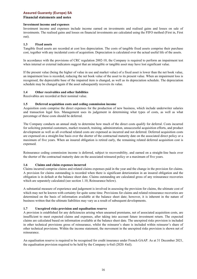## **Financial statements and notes**

#### **Investment income and expenses**

Investment income and expenses include income earned on investments and realised gains and losses on sale of investments. The realised gains and losses on financial investments are calculated using the FIFO method (First in, First out).

## **1.3 Fixed assets**

Tangible fixed assets are recorded at cost less depreciation. The costs of tangible fixed assets comprise their purchase cost, together with any incidental costs of acquisition. Depreciation is calculated over the actual useful life of the assets.

In accordance with the provisions of CRC regulation 2002-10, the Company is required to perform an impairment test when internal or external indicators suggest that an intangible or tangible asset may have lost significant value.

If the present value (being the higher of value in use and market value) of a fixed asset is lower than the net book value, an impairment loss is recorded, reducing the net book value of the asset to its present value. When an impairment loss is recognised, the depreciable base of the impaired item is changed, as well as its depreciation schedule. The depreciation schedule may be changed again if the asset subsequently recovers its value.

#### **1.4 Other receivables and other liabilities**

Receivables are recorded at their nominal value.

#### **1.5 Deferred acquisition costs and ceding commission income**

Acquisition costs comprise the direct expenses for the production of new business, which include underwriter salaries and transaction legal fees. Management uses its judgement in determining what types of costs, as well as what percentage of these costs should be deferred.

The Company conducts an annual study to determine how much of the direct costs qualify for deferral. Costs incurred for soliciting potential customers, market research, training, administration, unsuccessful acquisition efforts, and product development as well as all overhead related costs are expensed as incurred and not deferred. Deferred acquisition costs are expensed on a straight-line basis over the shorter of the contractual maturity date on the associated direct policy or a maximum of five years. When an insured obligation is retired early, the remaining related deferred acquisition cost is expensed.

Reinsurance ceding commission income is deferred, subject to recoverability, and earned on a straight-line basis over the shorter of the contractual maturity date on the associated reinsured policy or a maximum of five years.

## **1.6 Claims and claim expenses incurred**

Claims incurred comprise claims and related claims expenses paid in the year and the change in the provision for claims. A provision for claims outstanding is recorded when there is significant deterioration in an insured obligation and the obligation is in default at the balance sheet date. Claims outstanding are calculated gross of any reinsurance recoveries which are separately calculated (see section 1.10, Reinsurance below).

A substantial measure of experience and judgement is involved in assessing the provision for claims, the ultimate cost of which may not be known with certainty for quite some time. Provisions for claims and related reinsurance recoveries are determined on the basis of information available at the balance sheet date; however, it is inherent in the nature of business written that the ultimate liabilities may vary as a result of subsequent developments.

## **1.7 Unexpired risks provision and equalisation reserve**

A provision is established for any deficiencies arising when unearned premiums, net of associated acquisition costs, are insufficient to meet expected claims and expenses, after taking into account future investment return. The expected claims are calculated based on information available at the balance sheet date. The unexpired risks provision is included in other technical provisions gross of reinsurance, whilst the reinsurer's share is included within reinsurer's share of other technical provisions. Within the income statement, the movement in the unexpired risks provision is shown net of reinsurance.

An equalisation reserve is required to be recognised for credit insurance under French GAAP. As at 31 December 2021, the equalisation provision required to be held by the Company is  $\epsilon$ nil (2020:  $\epsilon$ nil).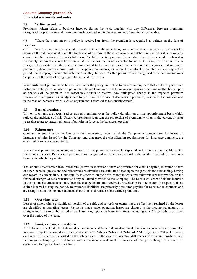## **Financial statements and notes**

#### **1.8 Written premiums**

Premiums written relate to business incepted during the year, together with any differences between premiums recognised for prior years and those previously accrued and include estimates of premiums not yet due.

(i) Where the premium on a policy is received up front, the premium is recognised as written on the date of inception.

(ii) Where a premium is received in instalments and the underlying bonds are callable, management considers the nature of the call provision(s) and the likelihood of exercise of those provisions, and determines whether it is reasonably certain that the contract will run its full term. The full expected premium is recorded when it is received or when it is reasonably certain that it will be received. When the contract is not expected to run its full term, the premium that is recognised as written is either the premium amount to the first call point under the contract or guaranteed minimum premium (where such a clause exists in the policy documents) or where the contract is callable without any notice period, the Company records the instalments as they fall due. Written premiums are recognised as earned income over the period of the policy having regard to the incidence of risk.

When instalment premiums to be received under the policy are linked to an outstanding debt that could be paid down faster than anticipated, or where a premium is linked to an index, the Company recognises premiums written based upon an analysis of the premium it is reasonably certain to receive. Any anticipated change in the expected premium receivable is recognised as an adjustment to premium; in the case of decreases in premium, as soon as it is foreseen and in the case of increases, when such an adjustment is assessed as reasonably certain.

#### **1.9 Earned premiums**

Written premiums are recognised as earned premiums over the policy duration on a time apportionment basis which reflects the incidence of risk. Unearned premiums represent the proportion of premiums written in the current or prior years that relate to unexpired terms of policies in force at the balance sheet date.

#### **1.10 Reinsurance**

Contracts entered into by the Company with reinsurers, under which the Company is compensated for losses on insurance policies issued by the Company and that meet the classification requirements for insurance contracts, are classified as reinsurance contracts.

Reinsurance premiums are recognised based on the premium reasonably expected to be paid across the life of the reinsurance contract. Reinsurance premiums are recognised as earned with regard to the incidence of risk for the direct business to which they relate.

The amounts recoverable from reinsurers (shown in reinsurer's share of provision for claims payable, reinsurer's share of other technical provisions and reinsurance receivables) are estimated based upon the gross claims outstanding, having due regard to collectability. Collectability is assessed on the basis of market data and other relevant information on the financial strength of each reinsurer and any collateral provided to the Company. The reinsurers' share of claims incurred in the income statement account reflects the change in amounts received or receivable from reinsurers in respect of those claims incurred during the period. Reinsurance liabilities are primarily premiums payable for reinsurance contracts and are recognised in the income statement as cessions and retrocessions written premiums.

## **1.11 Operating leases**

Leases of assets where a significant portion of the risk and rewards of ownership are effectively retained by the lessor are classified as operating leases. Payments made under operating leases are charged to the income statement on a straight-line basis over the period of the lease. Any operating lease incentives, including rent free periods, are spread over the period of the lease.

#### **1.12 Foreign currency translation**

At the balance sheet date, the balance sheet and income statement items denominated in foreign currencies are converted to euros using the year-end rate. In accordance with Articles 241-5 and 241-6 of ANC Regulation 2015-11, foreign exchange differences are recorded on the balance sheet in the case of translation differences on structural positions; and in foreign exchange gains and losses within the income statement in the case of foreign exchange differences on operational foreign exchange positions.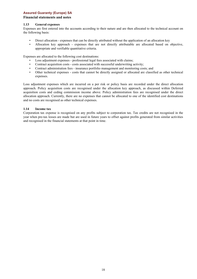## **Financial statements and notes**

#### **1.13 General expenses**

Expenses are first entered into the accounts according to their nature and are then allocated to the technical account on the following basis:

- Direct allocation expenses that can be directly attributed without the application of an allocation key
- Allocation key approach expenses that are not directly attributable are allocated based on objective, appropriate and verifiable quantitative criteria.

Expenses are allocated to the following cost destinations:

- Loss adjustment expenses professional legal fees associated with claims;
- Contract acquisition costs costs associated with successful underwriting activity;
- Contract administration fees insurance portfolio management and monitoring costs; and
- Other technical expenses costs that cannot be directly assigned or allocated are classified as other technical expenses.

Loss adjustment expenses which are incurred on a per risk or policy basis are recorded under the direct allocation approach. Policy acquisition costs are recognised under the allocation key approach, as discussed within Deferred acquisition costs and ceding commission income above. Policy administration fees are recognised under the direct allocation approach. Currently, there are no expenses that cannot be allocated to one of the identified cost destinations and no costs are recognised as other technical expenses.

#### **1.14 Income tax**

Corporation tax expense is recognised on any profits subject to corporation tax. Tax credits are not recognised in the year when pre-tax losses are made but are used in future years to offset against profits generated from similar activities and recognised in the financial statements at that point in time.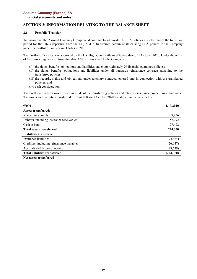#### **Financial statements and notes**

# **SECTION 2: INFORMATION RELATING TO THE BALANCE SHEET**

#### **2.1 Portfolio Transfer**

To ensure that the Assured Guaranty Group could continue to administer its EEA policies after the end of the transition period for the UK's departure from the EU, AGUK transferred certain of its existing EEA polices to the Company under the Portfolio Transfer in October 2020.

The Portfolio Transfer was approved by the UK High Court with an effective date of 1 October 2020. Under the terms of the transfer agreement, from that date AGUK transferred to the Company:

- (i) the rights, benefits, obligations and liabilities under approximately 79 financial guarantee policies;
- (ii) the rights, benefits, obligations and liabilities under all outwards reinsurance contracts attaching to the transferred policies;
- (iii) the records, rights and obligations under ancillary contracts entered into in connection with the transferred policies; and
- (iv) cash consideration.

The Portfolio Transfer was affected as a sale of the transferring policies and related reinsurance protections at fair value. The assets and liabilities transferred from AGUK on 1 October 2020 are shown in the table below.

| $\epsilon$ '000                           | 1.10.2020  |
|-------------------------------------------|------------|
| <b>Assets transferred:</b>                |            |
| Reinsurance assets                        | 139,136    |
| Debtors, including insurance receivables  | 57,792     |
| Cash at bank                              | 27,422     |
| <b>Total assets transferred</b>           | 224,350    |
| Liabilities transferred:                  |            |
| Insurance liabilities                     | (174, 664) |
| Creditors, including reinsurance payables | (26, 047)  |
| Accruals and deferred income              | (23, 639)  |
| <b>Total liabilities transferred</b>      | (224, 350) |
| Net assets transferred                    |            |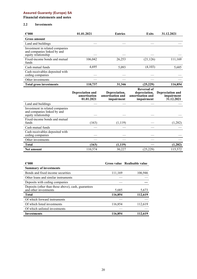**Financial statements and notes**

## **2.2 Investments**

| $\epsilon$ '000                                                                       | 01.01.2021                                            | <b>Entries</b>                                  | <b>Exits</b>                                    | 31.12.2021                                          |
|---------------------------------------------------------------------------------------|-------------------------------------------------------|-------------------------------------------------|-------------------------------------------------|-----------------------------------------------------|
| <b>Gross amount</b>                                                                   |                                                       |                                                 |                                                 |                                                     |
| Land and buildings                                                                    |                                                       |                                                 |                                                 |                                                     |
| Investment in related companies<br>and companies linked by and<br>equity relationship |                                                       |                                                 |                                                 |                                                     |
| Fixed-income bonds and mutual<br>funds                                                | 106,042                                               | 26,253                                          | (21, 126)                                       | 111,169                                             |
| Cash mutual funds                                                                     | 4,695                                                 | 5,093                                           | (4,103)                                         | 5,685                                               |
| Cash receivables deposited with<br>ceding companies                                   |                                                       |                                                 |                                                 |                                                     |
| Other investments                                                                     |                                                       |                                                 |                                                 |                                                     |
| <b>Total gross investments</b>                                                        | 110,737                                               | 31,346                                          | (25, 229)                                       | 116,854                                             |
|                                                                                       |                                                       |                                                 | <b>Reversal of</b>                              |                                                     |
|                                                                                       | <b>Depreciation and</b><br>amortisation<br>01.01.2021 | Depreciation,<br>amortisation and<br>impairment | depreciation,<br>amortisation and<br>impairment | <b>Depreciation and</b><br>impairment<br>31.12.2021 |
| Land and buildings                                                                    |                                                       |                                                 |                                                 |                                                     |
| Investment in related companies<br>and companies linked by and<br>equity relationship |                                                       |                                                 |                                                 |                                                     |
| Fixed-income bonds and mutual<br>funds                                                | (163)                                                 | (1, 119)                                        |                                                 | (1,282)                                             |
| Cash mutual funds                                                                     |                                                       |                                                 |                                                 |                                                     |
| Cash receivables deposited with<br>ceding companies                                   |                                                       |                                                 |                                                 |                                                     |
| Other investments                                                                     |                                                       |                                                 |                                                 |                                                     |
| <b>Total</b>                                                                          | (163)                                                 | (1, 119)                                        |                                                 | (1, 282)                                            |

| $\epsilon$ '000                                                              |         | Gross value Realisable value |
|------------------------------------------------------------------------------|---------|------------------------------|
| <b>Summary of investments</b>                                                |         |                              |
| Bonds and fixed income securities                                            | 111,169 | 106,946                      |
| Other loans and similar instruments                                          |         |                              |
| Deposits with ceding companies                                               |         |                              |
| Deposits (other than those above), cash, guarantees<br>and other investments | 5,685   | 5,673                        |
| <b>Total</b>                                                                 | 116,854 | 112,619                      |
| Of which forward instruments                                                 |         |                              |
| Of which listed investments                                                  | 116,854 | 112,619                      |
| Of which unlisted investments                                                |         |                              |
| Investments                                                                  | 116,854 | 112,619                      |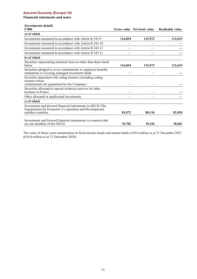**Financial statements and notes**

# *Investments details*

| $\epsilon$ '000                                                                                                                           |         | Gross value Net book value | Realisable value |
|-------------------------------------------------------------------------------------------------------------------------------------------|---------|----------------------------|------------------|
| a) of which                                                                                                                               |         |                            |                  |
| Investments measured in accordance with Article R.343-9                                                                                   | 116,854 | 115,572                    | 112,619          |
| Investments measured in accordance with Article R.343-10                                                                                  |         |                            |                  |
| Investments measured in accordance with Article R.343-13                                                                                  |         |                            |                  |
| Investments measured in accordance with Article R.343-11                                                                                  |         |                            |                  |
| b) of which                                                                                                                               |         |                            |                  |
| Securities representing technical reserves other than those listed<br>below                                                               | 116,854 | 115,572                    | 112,619          |
| Securities pledged to cover commitments to employee benefits<br>institutions or covering managed investment funds                         |         |                            |                  |
| Securities deposited with ceding insurers (including ceding<br>insurers whose<br>commitments are guaranteed by the Company)               |         |                            |                  |
| Securities allocated to special technical reserves for other<br>business in France                                                        |         |                            |                  |
| Other allocated or unallocated investments                                                                                                |         |                            |                  |
| c) of which                                                                                                                               |         |                            |                  |
| Investments and forward financial instruments in OECD (The<br>Organisation for Economic Co-operation and Development)<br>member countries | 81,072  | 80,136                     | 82,018           |
| Investments and forward financial instruments in countries that<br>are not members of the OECD                                            | 35,782  | 35,436                     | 30,601           |

The value of future years amortisation on fixed income bonds and mutual funds is €8.0 million as at 31 December 2021 (€10.0 million as at 31 December 2020).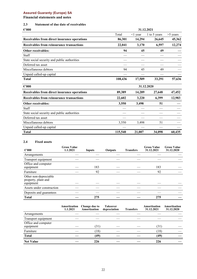# **Financial statements and notes**

# **2.3 Statement of due date of receivables**

| $\epsilon{\cdot}000$                         | 31.12.2021 |               |              |            |
|----------------------------------------------|------------|---------------|--------------|------------|
|                                              | Total      | $\leq$ 1 year | 1 to 5 years | $>5$ years |
| Receivables from direct insurance operations | 86,301     | 14,294        | 26,645       | 45,362     |
| Receivables from reinsurance transactions    | 22,041     | 3,170         | 6,597        | 12,274     |
| Other receivables:                           | 94         | 45            | 49           |            |
| Staff                                        |            |               |              |            |
| State social security and public authorities |            |               |              |            |
| Deferred tax asset                           |            |               |              |            |
| Miscellaneous debtors                        | 94         | 45            | 49           |            |
| Unpaid called-up capital                     |            |               |              |            |
| <b>Total</b>                                 | 108,436    | 17,509        | 33,291       | 57,636     |
| $\epsilon$ '000                              |            |               | 31.12.2020   |            |
| Receivables from direct insurance operations | 89,389     | 14,289        | 27,648       | 47,452     |
| Receivables from reinsurance transactions    | 22,602     | 3,220         | 6,399        | 12,983     |
| Other receivables:                           | 3,550      | 3,498         | 51           |            |
| <b>Staff</b>                                 |            |               |              |            |
| State social security and public authorities |            |               |              |            |
| Deferred tax asset                           |            |               |              |            |
| Miscellaneous debtors                        | 3,550      | 3,498         | 51           |            |
| Unpaid called-up capital                     |            |               |              |            |
| <b>Total</b>                                 | 115,540    | 21,007        | 34,098       | 60,435     |

## **2.4 Fixed assets**

| $\epsilon$ '000                                           | <b>Gross Value</b><br>1.1.2021 | Inputs | Outputs | <b>Transfers</b> | <b>Gross Value</b><br>31.12.2021 | <b>Gross Value</b><br>31.12.2020 |
|-----------------------------------------------------------|--------------------------------|--------|---------|------------------|----------------------------------|----------------------------------|
| Arrangements                                              |                                |        |         |                  |                                  |                                  |
| Transport equipment                                       |                                |        |         |                  |                                  |                                  |
| Office and computer<br>equipment                          |                                | 183    |         |                  | 183                              |                                  |
| Furniture                                                 |                                | 92     |         |                  | 92                               |                                  |
| Other non-depreciable<br>property, plant and<br>equipment |                                |        |         |                  |                                  |                                  |
| Assets under construction                                 |                                |        |         |                  |                                  |                                  |
| Deposits and guarantees                                   |                                |        |         |                  |                                  |                                  |
| <b>Total</b>                                              |                                | 275    |         |                  | 275                              |                                  |

|                                  | Amortization<br>1.1.2021 | Change due to<br>Amortization | <b>Takeover</b><br>depreciation | <b>Transfers</b> | Amortisation<br>31.12.2021 | Amortisation<br>31.12.2020 |
|----------------------------------|--------------------------|-------------------------------|---------------------------------|------------------|----------------------------|----------------------------|
| Arrangements                     |                          |                               |                                 |                  |                            |                            |
| Transport equipment              |                          |                               |                                 |                  |                            |                            |
| Office and computer<br>equipment |                          | (31)                          |                                 |                  | (31)                       |                            |
| Furniture                        |                          | (18)                          |                                 |                  | (18)                       |                            |
| <b>Total</b>                     |                          | (49)                          |                                 |                  | (49)                       |                            |
| <b>Net Value</b>                 |                          | 226                           |                                 |                  | 226                        |                            |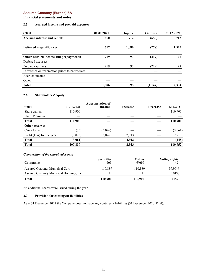## **Financial statements and notes**

## **2.5 Accrued income and prepaid expenses**

| $\epsilon$ '000                                | 01.01.2021 | Inputs | Outputs | 31.12.2021 |
|------------------------------------------------|------------|--------|---------|------------|
| <b>Accrued interest and rentals</b>            | 650        | 712    | (650)   | 712        |
| Deferred acquisition cost                      | 717        | 1,086  | (278)   | 1,525      |
| Other accrued income and prepayments:          | 219        | 97     | (219)   | 97         |
| Deferred tax asset                             |            |        |         |            |
| Prepaid expenses                               | 219        | 97     | (219)   | 97         |
| Difference on redemption prices to be received |            |        |         |            |
| Accrued income                                 |            |        |         |            |
| Other                                          |            |        |         |            |
| <b>Total</b>                                   | 1,586      | 1.895  | (1,147) | 2.334      |

## **2.6 Shareholders' equity**

|                            |            | Appropriation of |          |                 |            |
|----------------------------|------------|------------------|----------|-----------------|------------|
| $\epsilon$ '000            | 01.01.2021 | income           | Increase | <b>Decrease</b> | 31.12.2021 |
| Share capital              | 110,900    |                  |          |                 | 110,900    |
| <b>Share Premium</b>       |            |                  |          |                 |            |
| <b>Total</b>               | 110,900    |                  |          |                 | 110,900    |
| <b>Other reserves</b>      |            |                  |          |                 |            |
| Carry forward              | (35)       | (3,026)          |          |                 | (3,061)    |
| Profit (loss) for the year | (3,026)    | 3,026            | 2,913    |                 | 2,913      |
| <b>Total</b>               | (3,061)    |                  | 2,913    |                 | (148)      |
| <b>Total</b>               | 107,839    |                  | 2,913    |                 | 110,752    |

#### *Composition of the shareholder base*

| <b>Companies</b>                          | <b>Securities</b><br>'000 | Values<br>$\epsilon$ '000 | <b>Voting rights</b><br>$\frac{0}{6}$ |
|-------------------------------------------|---------------------------|---------------------------|---------------------------------------|
| Assured Guaranty Municipal Corp           | 110.889                   | 110.889                   | 99.99%                                |
| Assured Guaranty Municipal Holdings, Inc. |                           |                           | $0.01\%$                              |
| <b>Total</b>                              | 110,900                   | 110.900                   | 100%                                  |

No additional shares were issued during the year.

## **2.7 Provision for contingent liabilities**

As at 31 December 2021 the Company does not have any contingent liabilities (31 December 2020:  $\epsilon$  nil).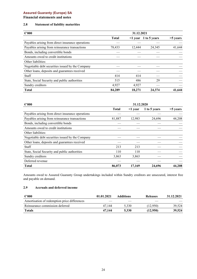**Financial statements and notes**

## **2.8 Statement of liability maturities**

| $\epsilon$ '000                                   | 31.12.2021   |        |                            |            |
|---------------------------------------------------|--------------|--------|----------------------------|------------|
|                                                   | <b>Total</b> |        | $\leq$ 1 year 1 to 5 years | $>5$ years |
| Payables arising from direct insurance operations |              |        |                            |            |
| Payables arising from reinsurance transactions    | 78,433       | 12,444 | 24,345                     | 41,644     |
| Bonds, including convertible bonds                |              |        |                            |            |
| Amounts owed to credit institutions               |              |        |                            |            |
| Other liabilities:                                |              |        |                            |            |
| Negotiable debt securities issued by the Company  |              |        |                            |            |
| Other loans, deposits and guarantees received     |              |        |                            |            |
| <b>Staff</b>                                      | 414          | 414    |                            |            |
| State, Social Security and public authorities     | 515          | 486    | 29                         |            |
| Sundry creditors                                  | 4.927        | 4.927  |                            |            |
| <b>Total</b>                                      | 84,289       | 18.271 | 24,374                     | 41,644     |

| $\epsilon$ '000                                   | 31.12.2020   |               |              |            |
|---------------------------------------------------|--------------|---------------|--------------|------------|
|                                                   | <b>Total</b> | $\leq 1$ year | 1 to 5 years | $>5$ years |
| Payables arising from direct insurance operations |              |               |              |            |
| Payables arising from reinsurance transactions    | 81,887       | 12,983        | 24,696       | 44,208     |
| Bonds, including convertible bonds                |              |               |              |            |
| Amounts owed to credit institutions               |              |               |              |            |
| Other liabilities:                                |              |               |              |            |
| Negotiable debt securities issued by the Company  |              |               |              |            |
| Other loans, deposits and guarantees received     |              |               |              |            |
| Staff                                             | 213          | 213           |              |            |
| State, Social Security and public authorities     | 110          | 110           |              |            |
| Sundry creditors                                  | 3,863        | 3,863         |              |            |
| Deferred revenue                                  |              |               |              |            |
| <b>Total</b>                                      | 86,073       | 17,169        | 24,696       | 44,208     |

Amounts owed to Assured Guaranty Group undertakings included within Sundry creditors are unsecured, interest free and payable on demand.

## **2.9 Accruals and deferred income**

| $\epsilon$ '000                              | 01.01.2021 | <b>Additions</b> | <b>Releases</b> | 31.12.2021 |
|----------------------------------------------|------------|------------------|-----------------|------------|
| Amortisation of redemption price differences |            |                  |                 |            |
| Reinsurance commission deferred              | 47.144     | 5.330            | (12,950)        | 39.524     |
| <b>Totals</b>                                | 47.144     | 5.330            | (12,950)        | 39,524     |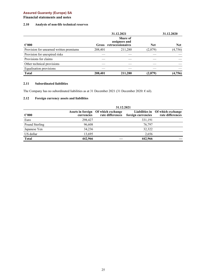## **Financial statements and notes**

## **2.10 Analysis of non-life technical reserves**

|                                         |              | 31.12.2021                                            |            | 31.12.2020 |
|-----------------------------------------|--------------|-------------------------------------------------------|------------|------------|
| $\epsilon$ '000                         | <b>Gross</b> | <b>Share of</b><br>assignees and<br>retrocessionaires | <b>Net</b> | <b>Net</b> |
| Provision for unearned written premiums | 208,401      | 211,280                                               | (2,879)    | (4, 756)   |
| Provision for unexpired risks           |              |                                                       |            |            |
| Provisions for claims                   |              |                                                       |            |            |
| Other technical provisions              |              |                                                       |            |            |
| <b>Equalisation provisions</b>          |              |                                                       |            |            |
| <b>Total</b>                            | 208,401      | 211,280                                               | (2,879)    | (4,756)    |

## **2.11 Subordinated liabilities**

The Company has no subordinated liabilities as at 31 December 2021 (31 December 2020:  $\epsilon$  nil).

## **2.12 Foreign currency assets and liabilities**

|                 |            | 31.12.2021                                              |                    |                                                      |
|-----------------|------------|---------------------------------------------------------|--------------------|------------------------------------------------------|
| $\epsilon$ '000 | currencies | Assets in foreign Of which exchange<br>rate differences | foreign currencies | Liabilities in Of which exchange<br>rate differences |
| Euro            | 298,427    |                                                         | 331,191            |                                                      |
| Pound Sterling  | 96,608     |                                                         | 76,797             |                                                      |
| Japanese Yen    | 34,236     |                                                         | 32,322             |                                                      |
| US dollar       | 13,695     |                                                         | 2.656              |                                                      |
| <b>Total</b>    | 442,966    |                                                         | 442,966            |                                                      |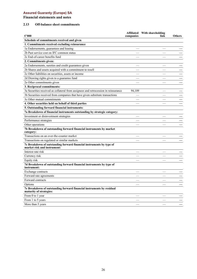**Financial statements and notes**

## **2.13 Off-balance sheet commitments**

| $\epsilon$ '000                                                                                     | companies | Affiliated With shareholding<br>link | <b>Others</b> |
|-----------------------------------------------------------------------------------------------------|-----------|--------------------------------------|---------------|
| Schedule of commitments received and given                                                          |           |                                      |               |
| 1. Commitments received excluding reinsurance                                                       |           |                                      |               |
| 1a Endorsements, guarantees and leasing                                                             |           |                                      |               |
| 2b Past service cost on IFC common status                                                           |           |                                      |               |
| 2c End-of-career benefits fund                                                                      |           |                                      |               |
| 2. Commitments given:                                                                               |           |                                      |               |
| 2a Endorsements, sureties and credit guarantees given                                               |           |                                      |               |
| 2b Shares and assets acquired with a commitment to resell                                           |           |                                      |               |
| 2c Other liabilities on securities, assets or income                                                |           |                                      |               |
| 2d Drawing rights given to a guarantee fund                                                         |           |                                      |               |
| 2e Other commitments given                                                                          |           |                                      |               |
| 3. Reciprocal commitments:                                                                          |           |                                      |               |
|                                                                                                     |           |                                      |               |
| 3a Securities received as collateral from assignees and retrocession in reinsurance                 | 94,109    |                                      |               |
| 3b Securities received from companies that have given substitute transactions                       |           |                                      |               |
| 3c Other mutual commitments                                                                         |           |                                      |               |
| 4. Other securities held on behalf of third parties                                                 |           |                                      |               |
| 5. Outstanding forward financial instruments:                                                       |           |                                      |               |
| 7a Breakdown of financial instruments outstanding by strategic category:                            |           |                                      |               |
| Investment or disinvestment strategies                                                              |           |                                      |               |
| Performance strategies                                                                              |           |                                      |               |
| Other operations                                                                                    |           |                                      |               |
| 7b Breakdown of outstanding forward financial instruments by market<br>category:                    |           |                                      |               |
| Transactions on an over-the-counter market                                                          |           |                                      |               |
| Transactions on regulated or similar markets                                                        |           |                                      |               |
| 7c Breakdown of outstanding forward financial instruments by type of<br>market risk and instrument: |           |                                      |               |
| Interest rate risk                                                                                  |           |                                      |               |
| Currency risk                                                                                       |           |                                      |               |
| Equity risk                                                                                         |           |                                      |               |
| 7d Breakdown of outstanding forward financial instruments by type of<br>instrument:                 |           |                                      |               |
| Exchange contracts                                                                                  |           |                                      |               |
| Forward rate agreements                                                                             |           |                                      |               |
| Forward contracts                                                                                   |           |                                      |               |
| Options                                                                                             |           |                                      |               |
| 7e Breakdown of outstanding forward financial instruments by residual<br>maturity of strategies:    |           |                                      |               |
| From 0 to 1 year                                                                                    |           |                                      |               |
| From 1 to 5 years                                                                                   |           |                                      |               |
| More than 5 years                                                                                   |           |                                      |               |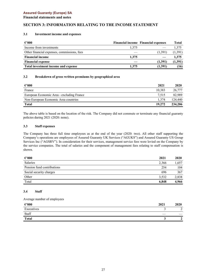## **Financial statements and notes**

# **SECTION 3: INFORMATION RELATING TO THE INCOME STATEMENT**

#### **3.1 Investment income and expenses**

| $\epsilon$ '000                             |       | <b>Financial income Financial expenses</b> | Total   |
|---------------------------------------------|-------|--------------------------------------------|---------|
| Income from investments                     | 1.375 |                                            | 1.375   |
| Other financial expenses, commissions, fees |       | (1,391)                                    | (1,391) |
| <b>Financial income</b>                     | 1.375 |                                            | 1,375   |
| <b>Financial expense</b>                    |       | (1,391)                                    | (1,391) |
| Total investment income and expense         | 1.375 | (1,391)                                    | (16)    |

#### **3.2 Breakdown of gross written premiums by geographical area**

| $\epsilon$ '000                           | 2021   | 2020    |
|-------------------------------------------|--------|---------|
| France                                    | 10.383 | 26,777  |
| European Economic Area - excluding France | 7.515  | 82.989  |
| Non-European Economic Area countries      | 1.374  | 124,440 |
| <b>Total</b>                              | 19.272 | 234,206 |

The above table is based on the location of the risk. The Company did not commute or terminate any financial guaranty policies during 2021 (2020: none).

## **3.3 Staff expenses**

The Company has three full time employees as at the end of the year (2020: two). All other staff supporting the Company's operations are employees of Assured Guaranty UK Services ("AGUKS") and Assured Guaranty US Group Services Inc ("AGSRV"). In consideration for their services, management service fees were levied on the Company by the service companies. The total of salaries and the component of management fees relating to staff compensation is shown.

| $\epsilon$ '000            | 2021  | 2020  |
|----------------------------|-------|-------|
| Salaries                   | 2,366 | 1,657 |
| Pension fund contributions | 254   | 104   |
| Social security charges    | 696   | 367   |
| Other                      | 3,532 | 2,838 |
| Total                      | 6.848 | 4,966 |

#### **3.4 Staff**

Average number of employees

| $\epsilon$ '000 | 2021 | 2020 |
|-----------------|------|------|
| Executives      |      | ⌒    |
| Staff           |      | __   |
| <b>Total</b>    |      | Α    |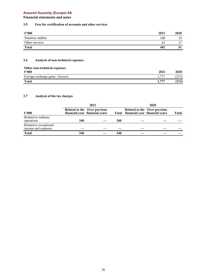# **Financial statements and notes**

## **3.5 Fees for certification of accounts and other services**

| $\epsilon$ '000   | 2021 | 2020 |
|-------------------|------|------|
| Statutory auditor | 340  | 14   |
| Other services    | 62   | 27   |
| <b>Total</b>      | 402  | - 21 |

# **3.6 Analysis of non-technical expenses**

| Other non-technical expenses      |       |       |
|-----------------------------------|-------|-------|
| $\epsilon$ '000                   | 2021  | 2020  |
| Foreign exchange gains / (losses) | 77    | 213)  |
| <b>Total</b>                      | 1.777 | (213) |

#### **3.7 Analysis of the tax charges**

|                                               | 2021 |                                                                       |     | 2020 |                                                                             |              |
|-----------------------------------------------|------|-----------------------------------------------------------------------|-----|------|-----------------------------------------------------------------------------|--------------|
| $\epsilon$ '000                               |      | <b>Related to the Over previous</b><br>financial year financial years |     |      | <b>Related to the Over previous</b><br>Total financial year financial years | <b>Total</b> |
| Related to ordinary<br>operations             | 340  |                                                                       | 340 |      |                                                                             |              |
| Related to exceptional<br>income and expenses |      |                                                                       |     |      |                                                                             |              |
| <b>Total</b>                                  | 340  |                                                                       | 340 |      |                                                                             |              |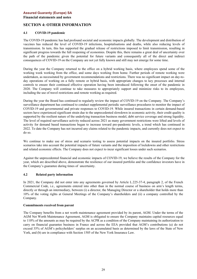**Financial statements and notes**

# **SECTION 4: OTHER INFORMATION**

#### **4.1 COVID-19 pandemic**

The COVID-19 pandemic has had profound societal and economic impacts globally. The development and distribution of vaccines has reduced the level of COVID-19 infections, hospitalisations and deaths, while also reducing levels of transmission. In turn, this has supported the gradual release of restrictions imposed to limit transmission, resulting in significant progress towards the full reopening of economies. Despite this, there remains a great deal of uncertainty over the path of the pandemic given the potential for future variants and consequently all of the direct and indirect consequences of COVID-19 on the Company are not yet fully known and still may not emerge for some time.

During the year the Company returned to the office on a hybrid working basis, where employees spend some of the working week working from the office, and some days working from home. Further periods of remote working were undertaken, as necessitated by government recommendations and restrictions. There was no significant impact on day-today operations of working on a fully remote or hybrid basis, with appropriate changes to key processes and internal controls to ensure their continued effective operation having been introduced following the onset of the pandemic in 2020. The Company will continue to take measures to appropriately support and minimize risks to its employees, including the use of travel restrictions and remote working as required.

During the year the Board has continued to regularly review the impact of COVID-19 on the Company. The Company's surveillance department has continued to conduct supplemental periodic surveillance procedures to monitor the impact of COVID-19 and governmental and private responses to COVID-19. While insured transactions in certain demand-based sectors have experienced significant strain due to the unprecedented slowdown in economic activity, their credit quality is supported by the resilient nature of the underlying transaction business model, debt service coverage and strong liquidity. The level of required surveillance activity reduced across 2021 as many government restrictions were lifted and levels of activity for demand based transactions began to increase toward pre-pandemic levels, a trend which has continued in 2022. To date the Company has not incurred any claims related to the pandemic impacts, and currently does not expect to do so.

We continue to make use of stress and scenario testing to assess potential impacts on the insured portfolio. Stress scenarios take into account the potential impacts of future variants and the imposition of lockdowns and other restrictions and related economic effects. The Company does not expect to incur significant losses under such scenarios.

Against the unprecedented financial and economic impacts of COVID-19, we believe the results of the Company for the year, which are described above, demonstrate the resilience of our insured portfolio and the confidence investors have in the Company's guarantee during times of uncertainty.

## **4.2 Related party information**

In 2021, the Company did not enter into any agreements governed by Article L.225–37-4, paragraph 2, of the French Commercial Code, i.e., agreements entered into other than in the normal course of business on arm's length terms, directly or through an intermediary, between (i) a director, the Managing Director or a shareholder that holds more than 10% of the voting rights at General Meetings of the Company's shareholders and (ii) a company controlled by the Company.

#### **Commitments received from parent**

The Company benefits from a net worth maintenance agreement provided by its parent, AGM. Under the terms of the AGM Net Worth Maintenance Agreement, AGM is obligated to ensure the Company maintains capital resources equal to 110% of the amounts as may be required by the ACPR as a condition of the Company maintaining its authorization to carry on financial guarantee business in France and across the EEA provided that AGM's contributions (a) do not exceed 35% of AGM's policyholders' surplus on an accumulated basis as determined by the laws of the State of New York, and (b) are in compliance with Section 1505 of the New York Insurance Law.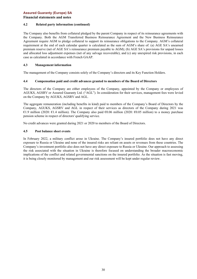#### **Financial statements and notes**

#### **4.2 Related party information (continued)**

The Company also benefits from collateral pledged by the parent Company in respect of its reinsurance agreements with the Company. Both the AGM Transferred Business Reinsurance Agreement and the New Business Reinsurance Agreement require AGM to pledge collateral to support its reinsurance obligations to the Company. AGM's collateral requirement at the end of each calendar quarter is calculated as the sum of AGM's share of: (a) AGE SA's unearned premium reserve (net of AGE SA's reinsurance premium payable to AGM); (b) AGE SA's provisions for unpaid losses and allocated loss adjustment expenses (net of any salvage recoverable), and (c) any unexpired risk provisions, in each case as calculated in accordance with French GAAP.

#### **4.3 Management information**

The management of the Company consists solely of the Company's directors and its Key Function Holders.

#### **4.4 Compensation paid and credit advances granted to members of the Board of Directors**

The directors of the Company are either employees of the Company, appointed by the Company or employees of AGUKS, AGSRV or Assured Guaranty Ltd. ("AGL"). In consideration for their services, management fees were levied on the Company by AGUKS, AGSRV and AGL.

The aggregate remuneration (including benefits in kind) paid to members of the Company's Board of Directors by the Company, AGUKS, AGSRV and AGL in respect of their services as directors of the Company during 2021 was €1.9 million (2020: €1.4 million). The Company also paid €0.06 million (2020: €0.05 million) to a money purchase pension scheme in respect of directors' qualifying service.

No credit advances were granted during 2021 or 2020 to members of the Board of Directors.

#### **4.5 Post balance sheet events**

In February 2022, a military conflict arose in Ukraine. The Company's insured portfolio does not have any direct exposure to Russia or Ukraine and none of the insured risks are reliant on assets or revenues from these countries. The Company's investment portfolio also does not have any direct exposure to Russia or Ukraine. Our approach to assessing the risk associated with the situation in Ukraine is therefore focused on understanding the broader macroeconomic implications of the conflict and related governmental sanctions on the insured portfolio. As the situation is fast moving, it is being closely monitored by management and our risk assessment will be kept under regular review.